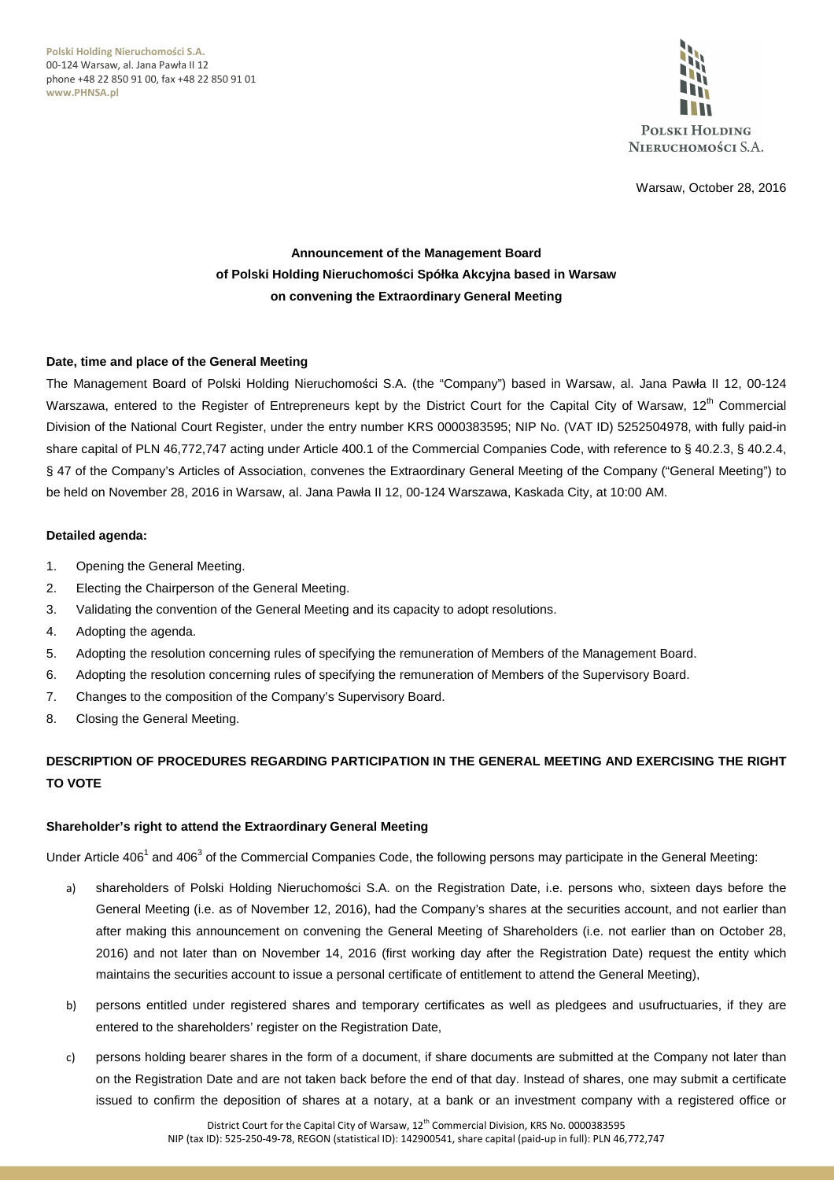**Polski Holding Nieruchomości S.A.** 00-124 Warsaw, al. Jana Pawła II 12 phone +48 22 850 91 00, fax +48 22 850 91 01 **www.PHNSA.pl**



Warsaw, October 28, 2016

# **Announcement of the Management Board of Polski Holding Nieruchomości Spółka Akcyjna based in Warsaw on convening the Extraordinary General Meeting**

# **Date, time and place of the General Meeting**

The Management Board of Polski Holding Nieruchomości S.A. (the "Company") based in Warsaw, al. Jana Pawła II 12, 00-124 Warszawa, entered to the Register of Entrepreneurs kept by the District Court for the Capital City of Warsaw, 12<sup>th</sup> Commercial Division of the National Court Register, under the entry number KRS 0000383595; NIP No. (VAT ID) 5252504978, with fully paid-in share capital of PLN 46,772,747 acting under Article 400.1 of the Commercial Companies Code, with reference to § 40.2.3, § 40.2.4, § 47 of the Company's Articles of Association, convenes the Extraordinary General Meeting of the Company ("General Meeting") to be held on November 28, 2016 in Warsaw, al. Jana Pawła II 12, 00-124 Warszawa, Kaskada City, at 10:00 AM.

## **Detailed agenda:**

- 1. Opening the General Meeting.
- 2. Electing the Chairperson of the General Meeting.
- 3. Validating the convention of the General Meeting and its capacity to adopt resolutions.
- 4. Adopting the agenda.
- 5. Adopting the resolution concerning rules of specifying the remuneration of Members of the Management Board.
- 6. Adopting the resolution concerning rules of specifying the remuneration of Members of the Supervisory Board.
- 7. Changes to the composition of the Company's Supervisory Board.
- 8. Closing the General Meeting.

# **DESCRIPTION OF PROCEDURES REGARDING PARTICIPATION IN THE GENERAL MEETING AND EXERCISING THE RIGHT TO VOTE**

## **Shareholder's right to attend the Extraordinary General Meeting**

Under Article 406<sup>1</sup> and 406<sup>3</sup> of the Commercial Companies Code, the following persons may participate in the General Meeting:

- a) shareholders of Polski Holding Nieruchomości S.A. on the Registration Date, i.e. persons who, sixteen days before the General Meeting (i.e. as of November 12, 2016), had the Company's shares at the securities account, and not earlier than after making this announcement on convening the General Meeting of Shareholders (i.e. not earlier than on October 28, 2016) and not later than on November 14, 2016 (first working day after the Registration Date) request the entity which maintains the securities account to issue a personal certificate of entitlement to attend the General Meeting),
- b) persons entitled under registered shares and temporary certificates as well as pledgees and usufructuaries, if they are entered to the shareholders' register on the Registration Date,
- c) persons holding bearer shares in the form of a document, if share documents are submitted at the Company not later than on the Registration Date and are not taken back before the end of that day. Instead of shares, one may submit a certificate issued to confirm the deposition of shares at a notary, at a bank or an investment company with a registered office or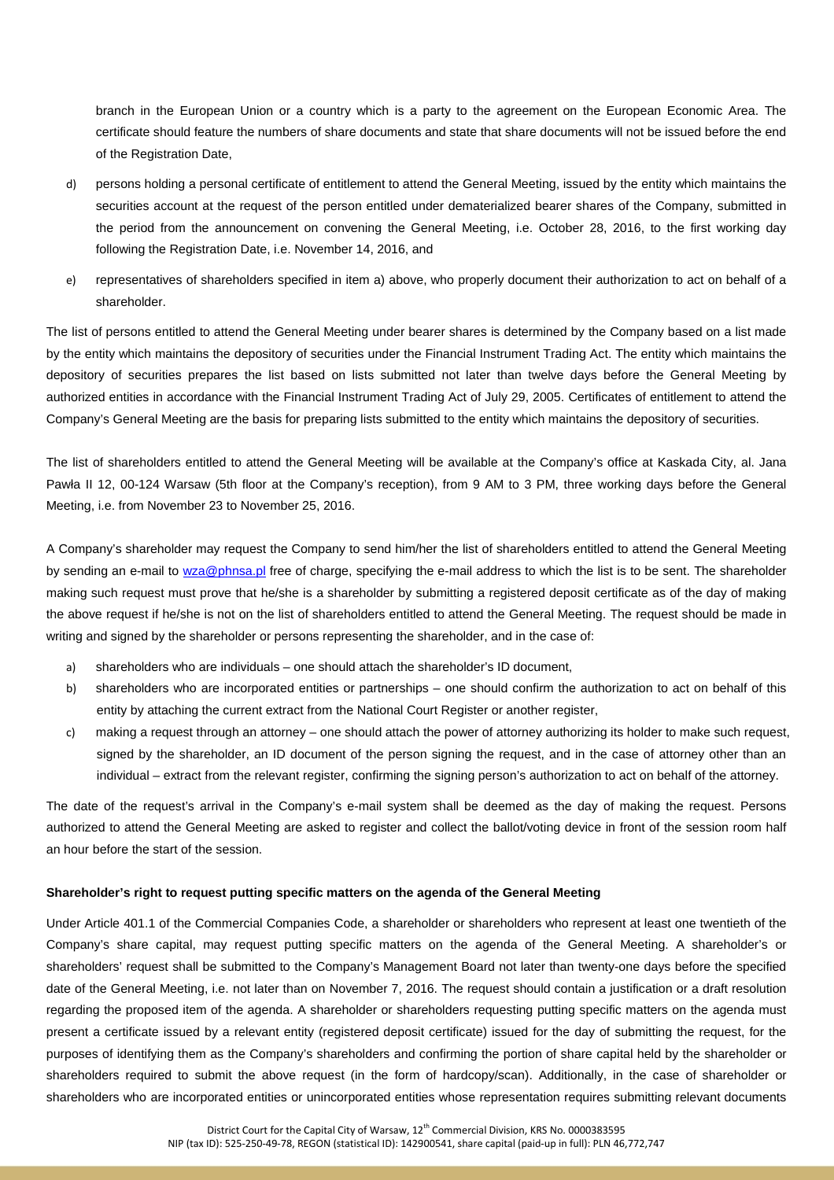branch in the European Union or a country which is a party to the agreement on the European Economic Area. The certificate should feature the numbers of share documents and state that share documents will not be issued before the end of the Registration Date,

- d) persons holding a personal certificate of entitlement to attend the General Meeting, issued by the entity which maintains the securities account at the request of the person entitled under dematerialized bearer shares of the Company, submitted in the period from the announcement on convening the General Meeting, i.e. October 28, 2016, to the first working day following the Registration Date, i.e. November 14, 2016, and
- e) representatives of shareholders specified in item a) above, who properly document their authorization to act on behalf of a shareholder.

The list of persons entitled to attend the General Meeting under bearer shares is determined by the Company based on a list made by the entity which maintains the depository of securities under the Financial Instrument Trading Act. The entity which maintains the depository of securities prepares the list based on lists submitted not later than twelve days before the General Meeting by authorized entities in accordance with the Financial Instrument Trading Act of July 29, 2005. Certificates of entitlement to attend the Company's General Meeting are the basis for preparing lists submitted to the entity which maintains the depository of securities.

The list of shareholders entitled to attend the General Meeting will be available at the Company's office at Kaskada City, al. Jana Pawła II 12, 00-124 Warsaw (5th floor at the Company's reception), from 9 AM to 3 PM, three working days before the General Meeting, i.e. from November 23 to November 25, 2016.

A Company's shareholder may request the Company to send him/her the list of shareholders entitled to attend the General Meeting by sending an e-mail to wza@phnsa.pl free of charge, specifying the e-mail address to which the list is to be sent. The shareholder making such request must prove that he/she is a shareholder by submitting a registered deposit certificate as of the day of making the above request if he/she is not on the list of shareholders entitled to attend the General Meeting. The request should be made in writing and signed by the shareholder or persons representing the shareholder, and in the case of:

- a) shareholders who are individuals one should attach the shareholder's ID document,
- b) shareholders who are incorporated entities or partnerships one should confirm the authorization to act on behalf of this entity by attaching the current extract from the National Court Register or another register,
- c) making a request through an attorney one should attach the power of attorney authorizing its holder to make such request, signed by the shareholder, an ID document of the person signing the request, and in the case of attorney other than an individual – extract from the relevant register, confirming the signing person's authorization to act on behalf of the attorney.

The date of the request's arrival in the Company's e-mail system shall be deemed as the day of making the request. Persons authorized to attend the General Meeting are asked to register and collect the ballot/voting device in front of the session room half an hour before the start of the session.

#### **Shareholder's right to request putting specific matters on the agenda of the General Meeting**

Under Article 401.1 of the Commercial Companies Code, a shareholder or shareholders who represent at least one twentieth of the Company's share capital, may request putting specific matters on the agenda of the General Meeting. A shareholder's or shareholders' request shall be submitted to the Company's Management Board not later than twenty-one days before the specified date of the General Meeting, i.e. not later than on November 7, 2016. The request should contain a justification or a draft resolution regarding the proposed item of the agenda. A shareholder or shareholders requesting putting specific matters on the agenda must present a certificate issued by a relevant entity (registered deposit certificate) issued for the day of submitting the request, for the purposes of identifying them as the Company's shareholders and confirming the portion of share capital held by the shareholder or shareholders required to submit the above request (in the form of hardcopy/scan). Additionally, in the case of shareholder or shareholders who are incorporated entities or unincorporated entities whose representation requires submitting relevant documents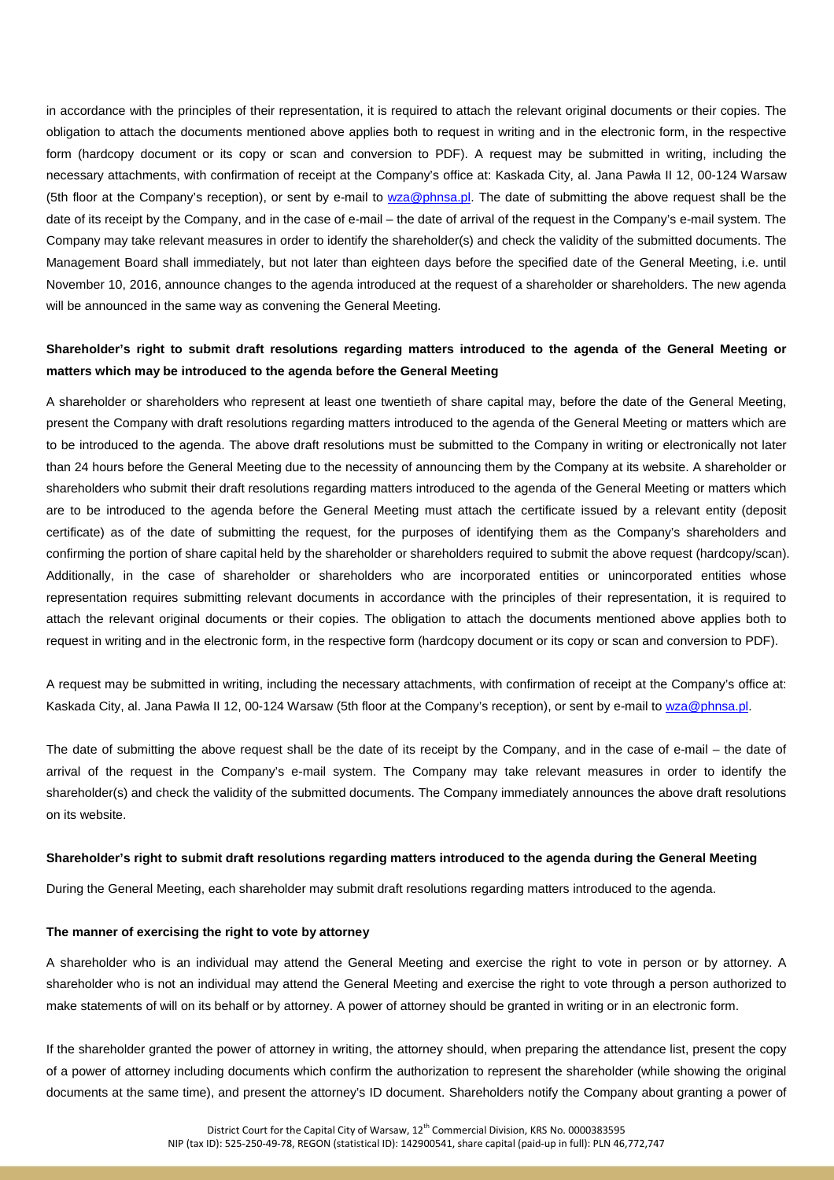in accordance with the principles of their representation, it is required to attach the relevant original documents or their copies. The obligation to attach the documents mentioned above applies both to request in writing and in the electronic form, in the respective form (hardcopy document or its copy or scan and conversion to PDF). A request may be submitted in writing, including the necessary attachments, with confirmation of receipt at the Company's office at: Kaskada City, al. Jana Pawła II 12, 00-124 Warsaw (5th floor at the Company's reception), or sent by e-mail to wza@phnsa.pl. The date of submitting the above request shall be the date of its receipt by the Company, and in the case of e-mail – the date of arrival of the request in the Company's e-mail system. The Company may take relevant measures in order to identify the shareholder(s) and check the validity of the submitted documents. The Management Board shall immediately, but not later than eighteen days before the specified date of the General Meeting, i.e. until November 10, 2016, announce changes to the agenda introduced at the request of a shareholder or shareholders. The new agenda will be announced in the same way as convening the General Meeting.

# **Shareholder's right to submit draft resolutions regarding matters introduced to the agenda of the General Meeting or matters which may be introduced to the agenda before the General Meeting**

A shareholder or shareholders who represent at least one twentieth of share capital may, before the date of the General Meeting, present the Company with draft resolutions regarding matters introduced to the agenda of the General Meeting or matters which are to be introduced to the agenda. The above draft resolutions must be submitted to the Company in writing or electronically not later than 24 hours before the General Meeting due to the necessity of announcing them by the Company at its website. A shareholder or shareholders who submit their draft resolutions regarding matters introduced to the agenda of the General Meeting or matters which are to be introduced to the agenda before the General Meeting must attach the certificate issued by a relevant entity (deposit certificate) as of the date of submitting the request, for the purposes of identifying them as the Company's shareholders and confirming the portion of share capital held by the shareholder or shareholders required to submit the above request (hardcopy/scan). Additionally, in the case of shareholder or shareholders who are incorporated entities or unincorporated entities whose representation requires submitting relevant documents in accordance with the principles of their representation, it is required to attach the relevant original documents or their copies. The obligation to attach the documents mentioned above applies both to request in writing and in the electronic form, in the respective form (hardcopy document or its copy or scan and conversion to PDF).

A request may be submitted in writing, including the necessary attachments, with confirmation of receipt at the Company's office at: Kaskada City, al. Jana Pawła II 12, 00-124 Warsaw (5th floor at the Company's reception), or sent by e-mail to wza@phnsa.pl.

The date of submitting the above request shall be the date of its receipt by the Company, and in the case of e-mail – the date of arrival of the request in the Company's e-mail system. The Company may take relevant measures in order to identify the shareholder(s) and check the validity of the submitted documents. The Company immediately announces the above draft resolutions on its website.

#### **Shareholder's right to submit draft resolutions regarding matters introduced to the agenda during the General Meeting**

During the General Meeting, each shareholder may submit draft resolutions regarding matters introduced to the agenda.

#### **The manner of exercising the right to vote by attorney**

A shareholder who is an individual may attend the General Meeting and exercise the right to vote in person or by attorney. A shareholder who is not an individual may attend the General Meeting and exercise the right to vote through a person authorized to make statements of will on its behalf or by attorney. A power of attorney should be granted in writing or in an electronic form.

If the shareholder granted the power of attorney in writing, the attorney should, when preparing the attendance list, present the copy of a power of attorney including documents which confirm the authorization to represent the shareholder (while showing the original documents at the same time), and present the attorney's ID document. Shareholders notify the Company about granting a power of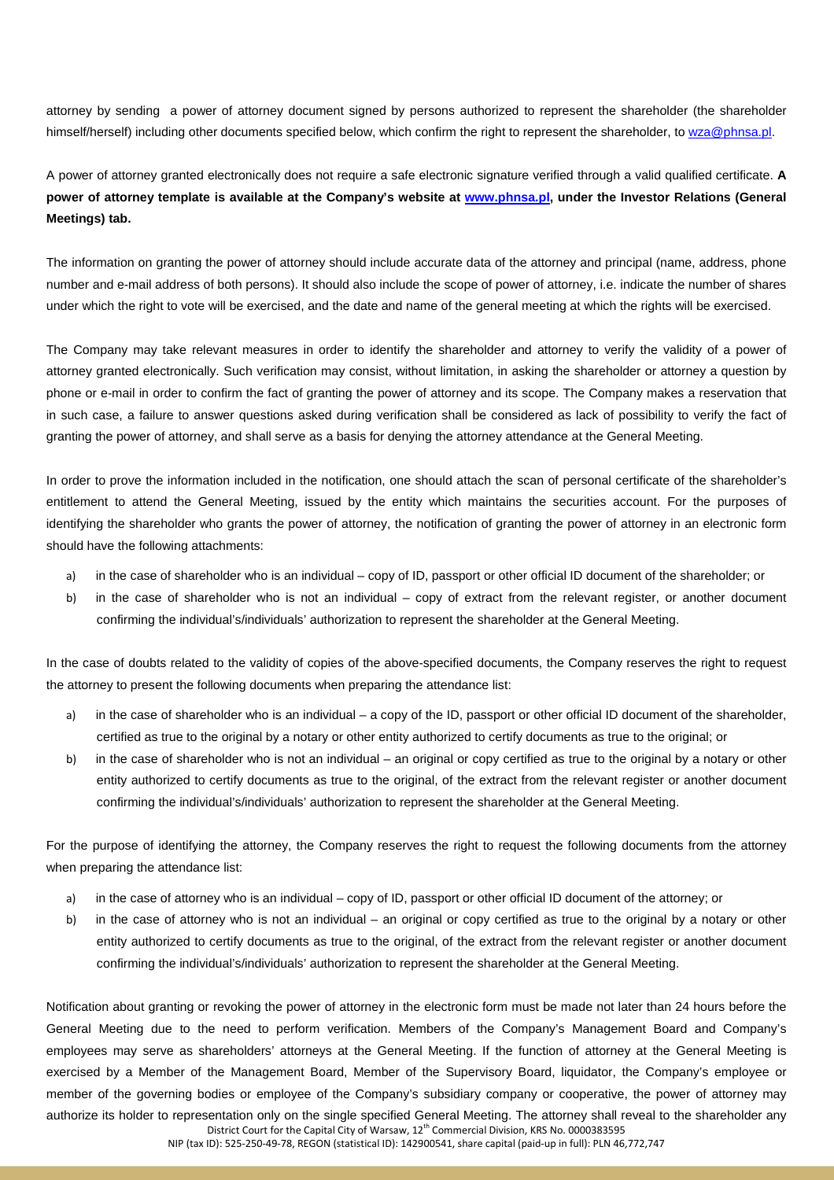attorney by sending a power of attorney document signed by persons authorized to represent the shareholder (the shareholder himself/herself) including other documents specified below, which confirm the right to represent the shareholder, to wza@phnsa.pl.

A power of attorney granted electronically does not require a safe electronic signature verified through a valid qualified certificate. **A power of attorney template is available at the Company's website at www.phnsa.pl, under the Investor Relations (General Meetings) tab.** 

The information on granting the power of attorney should include accurate data of the attorney and principal (name, address, phone number and e-mail address of both persons). It should also include the scope of power of attorney, i.e. indicate the number of shares under which the right to vote will be exercised, and the date and name of the general meeting at which the rights will be exercised.

The Company may take relevant measures in order to identify the shareholder and attorney to verify the validity of a power of attorney granted electronically. Such verification may consist, without limitation, in asking the shareholder or attorney a question by phone or e-mail in order to confirm the fact of granting the power of attorney and its scope. The Company makes a reservation that in such case, a failure to answer questions asked during verification shall be considered as lack of possibility to verify the fact of granting the power of attorney, and shall serve as a basis for denying the attorney attendance at the General Meeting.

In order to prove the information included in the notification, one should attach the scan of personal certificate of the shareholder's entitlement to attend the General Meeting, issued by the entity which maintains the securities account. For the purposes of identifying the shareholder who grants the power of attorney, the notification of granting the power of attorney in an electronic form should have the following attachments:

- a) in the case of shareholder who is an individual copy of ID, passport or other official ID document of the shareholder; or
- b) in the case of shareholder who is not an individual copy of extract from the relevant register, or another document confirming the individual's/individuals' authorization to represent the shareholder at the General Meeting.

In the case of doubts related to the validity of copies of the above-specified documents, the Company reserves the right to request the attorney to present the following documents when preparing the attendance list:

- a) in the case of shareholder who is an individual a copy of the ID, passport or other official ID document of the shareholder, certified as true to the original by a notary or other entity authorized to certify documents as true to the original; or
- b) in the case of shareholder who is not an individual an original or copy certified as true to the original by a notary or other entity authorized to certify documents as true to the original, of the extract from the relevant register or another document confirming the individual's/individuals' authorization to represent the shareholder at the General Meeting.

For the purpose of identifying the attorney, the Company reserves the right to request the following documents from the attorney when preparing the attendance list:

- a) in the case of attorney who is an individual copy of ID, passport or other official ID document of the attorney; or
- b) in the case of attorney who is not an individual an original or copy certified as true to the original by a notary or other entity authorized to certify documents as true to the original, of the extract from the relevant register or another document confirming the individual's/individuals' authorization to represent the shareholder at the General Meeting.

District Court for the Capital City of Warsaw, 12<sup>th</sup> Commercial Division, KRS No. 0000383595 NIP (tax ID): 525-250-49-78, REGON (statistical ID): 142900541, share capital (paid-up in full): PLN 46,772,747 Notification about granting or revoking the power of attorney in the electronic form must be made not later than 24 hours before the General Meeting due to the need to perform verification. Members of the Company's Management Board and Company's employees may serve as shareholders' attorneys at the General Meeting. If the function of attorney at the General Meeting is exercised by a Member of the Management Board, Member of the Supervisory Board, liquidator, the Company's employee or member of the governing bodies or employee of the Company's subsidiary company or cooperative, the power of attorney may authorize its holder to representation only on the single specified General Meeting. The attorney shall reveal to the shareholder any